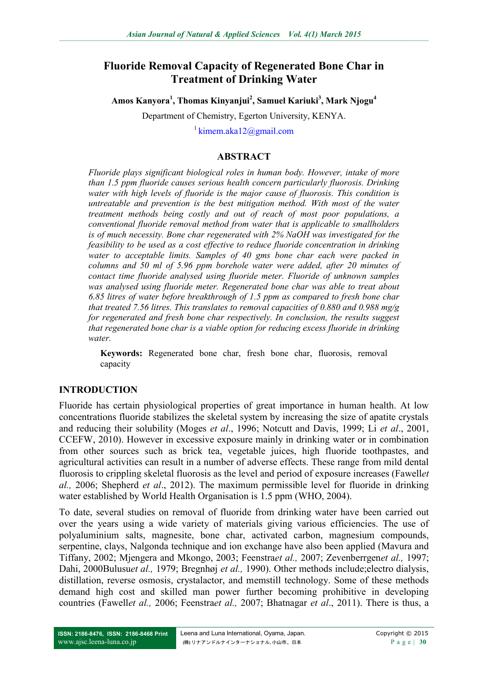# **Fluoride Removal Capacity of Regenerated Bone Char in Treatment of Drinking Water**

**Amos Kanyora<sup>1</sup> , Thomas Kinyanjui<sup>2</sup> , Samuel Kariuki<sup>3</sup> , Mark Njogu<sup>4</sup>**

Department of Chemistry, Egerton University, KENYA.

 $1$ [kimem.aka12@gmail.com](mailto:kimem.aka12@gmail.com)

# **ABSTRACT**

*Fluoride plays significant biological roles in human body. However, intake of more than 1.5 ppm fluoride causes serious health concern particularly fluorosis. Drinking water with high levels of fluoride is the major cause of fluorosis. This condition is untreatable and prevention is the best mitigation method. With most of the water treatment methods being costly and out of reach of most poor populations, a conventional fluoride removal method from water that is applicable to smallholders is of much necessity. Bone char regenerated with 2% NaOH was investigated for the feasibility to be used as a cost effective to reduce fluoride concentration in drinking water to acceptable limits. Samples of 40 gms bone char each were packed in columns and 50 ml of 5.96 ppm borehole water were added, after 20 minutes of contact time fluoride analysed using fluoride meter. Fluoride of unknown samples was analysed using fluoride meter. Regenerated bone char was able to treat about 6.85 litres of water before breakthrough of 1.5 ppm as compared to fresh bone char that treated 7.56 litres. This translates to removal capacities of 0.880 and 0.988 mg/g for regenerated and fresh bone char respectively. In conclusion, the results suggest that regenerated bone char is a viable option for reducing excess fluoride in drinking water.* 

**Keywords:** Regenerated bone char, fresh bone char, fluorosis, removal capacity

# **INTRODUCTION**

Fluoride has certain physiological properties of great importance in human health. At low concentrations fluoride stabilizes the skeletal system by increasing the size of apatite crystals and reducing their solubility (Moges *et al*., 1996; Notcutt and Davis, 1999; Li *et al*., 2001, CCEFW, 2010). However in excessive exposure mainly in drinking water or in combination from other sources such as brick tea, vegetable juices, high fluoride toothpastes, and agricultural activities can result in a number of adverse effects. These range from mild dental fluorosis to crippling skeletal fluorosis as the level and period of exposure increases (Fawell*et al.,* 2006; Shepherd *et al*., 2012). The maximum permissible level for fluoride in drinking water established by World Health Organisation is 1.5 ppm (WHO, 2004).

To date, several studies on removal of fluoride from drinking water have been carried out over the years using a wide variety of materials giving various efficiencies. The use of polyaluminium salts, magnesite, bone char, activated carbon, magnesium compounds, serpentine, clays, Nalgonda technique and ion exchange have also been applied (Mavura and Tiffany, 2002; Mjengera and Mkongo, 2003; Feenstra*et al.,* 2007; Zevenberrgen*et al.,* 1997; Dahi, 2000Bulusu*et al.,* 1979; Bregnhøj *et al.,* 1990). Other methods include;electro dialysis, distillation, reverse osmosis, crystalactor, and memstill technology. Some of these methods demand high cost and skilled man power further becoming prohibitive in developing countries (Fawell*et al.,* 2006; Feenstra*et al.,* 2007; Bhatnagar *et al*., 2011). There is thus, a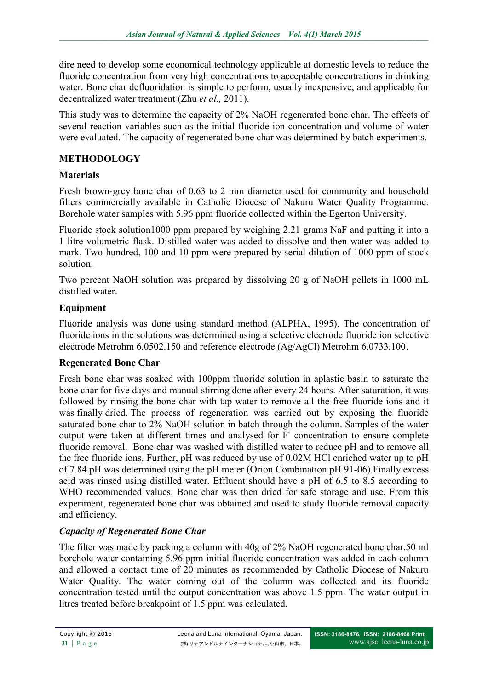dire need to develop some economical technology applicable at domestic levels to reduce the fluoride concentration from very high concentrations to acceptable concentrations in drinking water. Bone char defluoridation is simple to perform, usually inexpensive, and applicable for decentralized water treatment (Zhu *et al.,* 2011).

This study was to determine the capacity of 2% NaOH regenerated bone char. The effects of several reaction variables such as the initial fluoride ion concentration and volume of water were evaluated. The capacity of regenerated bone char was determined by batch experiments.

#### **METHODOLOGY**

#### **Materials**

Fresh brown-grey bone char of 0.63 to 2 mm diameter used for community and household filters commercially available in Catholic Diocese of Nakuru Water Quality Programme. Borehole water samples with 5.96 ppm fluoride collected within the Egerton University.

Fluoride stock solution1000 ppm prepared by weighing 2.21 grams NaF and putting it into a 1 litre volumetric flask. Distilled water was added to dissolve and then water was added to mark. Two-hundred, 100 and 10 ppm were prepared by serial dilution of 1000 ppm of stock solution.

Two percent NaOH solution was prepared by dissolving 20 g of NaOH pellets in 1000 mL distilled water.

# **Equipment**

Fluoride analysis was done using standard method (ALPHA, 1995). The concentration of fluoride ions in the solutions was determined using a selective electrode fluoride ion selective electrode Metrohm 6.0502.150 and reference electrode (Ag/AgCl) Metrohm 6.0733.100.

# **Regenerated Bone Char**

Fresh bone char was soaked with 100ppm fluoride solution in aplastic basin to saturate the bone char for five days and manual stirring done after every 24 hours. After saturation, it was followed by rinsing the bone char with tap water to remove all the free fluoride ions and it was finally dried. The process of regeneration was carried out by exposing the fluoride saturated bone char to 2% NaOH solution in batch through the column. Samples of the water output were taken at different times and analysed for F<sup>-</sup> concentration to ensure complete fluoride removal. Bone char was washed with distilled water to reduce pH and to remove all the free fluoride ions. Further, pH was reduced by use of 0.02M HCl enriched water up to pH of 7.84.pH was determined using the pH meter (Orion Combination pH 91-06).Finally excess acid was rinsed using distilled water. Effluent should have a pH of 6.5 to 8.5 according to WHO recommended values. Bone char was then dried for safe storage and use. From this experiment, regenerated bone char was obtained and used to study fluoride removal capacity and efficiency.

# *Capacity of Regenerated Bone Char*

The filter was made by packing a column with 40g of 2% NaOH regenerated bone char.50 ml borehole water containing 5.96 ppm initial fluoride concentration was added in each column and allowed a contact time of 20 minutes as recommended by Catholic Diocese of Nakuru Water Quality. The water coming out of the column was collected and its fluoride concentration tested until the output concentration was above 1.5 ppm. The water output in litres treated before breakpoint of 1.5 ppm was calculated.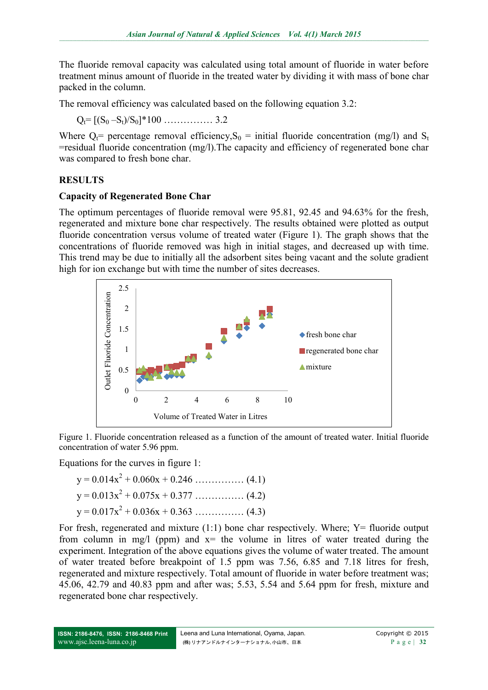The fluoride removal capacity was calculated using total amount of fluoride in water before treatment minus amount of fluoride in the treated water by dividing it with mass of bone char packed in the column.

The removal efficiency was calculated based on the following equation 3.2:

 $Q_t = [(S_0 - S_t)/S_0]^*100$  ……………… 3.2

Where  $Q_t$ = percentage removal efficiency,  $S_0$  = initial fluoride concentration (mg/l) and  $S_t$ =residual fluoride concentration (mg/l).The capacity and efficiency of regenerated bone char was compared to fresh bone char.

# **RESULTS**

# **Capacity of Regenerated Bone Char**

The optimum percentages of fluoride removal were 95.81, 92.45 and 94.63% for the fresh, regenerated and mixture bone char respectively. The results obtained were plotted as output fluoride concentration versus volume of treated water (Figure 1). The graph shows that the concentrations of fluoride removed was high in initial stages, and decreased up with time. This trend may be due to initially all the adsorbent sites being vacant and the solute gradient high for ion exchange but with time the number of sites decreases.



Figure 1. Fluoride concentration released as a function of the amount of treated water. Initial fluoride concentration of water 5.96 ppm.

Equations for the curves in figure 1:

$$
y = 0.014x^{2} + 0.060x + 0.246
$$
 (4.1)  

$$
y = 0.013x^{2} + 0.075x + 0.377
$$
 (4.2)  

$$
y = 0.017x^{2} + 0.036x + 0.363
$$
 (4.3)

For fresh, regenerated and mixture  $(1:1)$  bone char respectively. Where: Y= fluoride output from column in mg/l (ppm) and  $x=$  the volume in litres of water treated during the experiment. Integration of the above equations gives the volume of water treated. The amount of water treated before breakpoint of 1.5 ppm was 7.56, 6.85 and 7.18 litres for fresh, regenerated and mixture respectively. Total amount of fluoride in water before treatment was; 45.06, 42.79 and 40.83 ppm and after was; 5.53, 5.54 and 5.64 ppm for fresh, mixture and regenerated bone char respectively.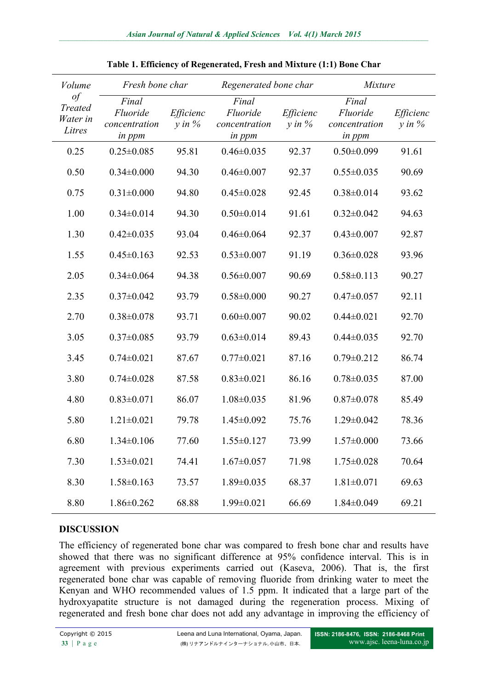| Volume<br>$\iota$<br><b>Treated</b><br>Water in<br>Litres | Fresh bone char                                     |                         | Regenerated bone char                        |                          | <b>Mixture</b>                                      |                         |
|-----------------------------------------------------------|-----------------------------------------------------|-------------------------|----------------------------------------------|--------------------------|-----------------------------------------------------|-------------------------|
|                                                           | Final<br>Fluoride<br>concentration<br><i>in ppm</i> | Efficienc<br>$y$ in $%$ | Final<br>Fluoride<br>concentration<br>in ppm | Efficienc<br>$y$ in $\%$ | Final<br>Fluoride<br>concentration<br><i>in ppm</i> | Efficienc<br>$y$ in $%$ |
| 0.25                                                      | $0.25 \pm 0.085$                                    | 95.81                   | $0.46 \pm 0.035$                             | 92.37                    | $0.50 \pm 0.099$                                    | 91.61                   |
| 0.50                                                      | $0.34 \pm 0.000$                                    | 94.30                   | $0.46 \pm 0.007$                             | 92.37                    | $0.55 \pm 0.035$                                    | 90.69                   |
| 0.75                                                      | $0.31 \pm 0.000$                                    | 94.80                   | $0.45 \pm 0.028$                             | 92.45                    | $0.38 \pm 0.014$                                    | 93.62                   |
| 1.00                                                      | $0.34 \pm 0.014$                                    | 94.30                   | $0.50 \pm 0.014$                             | 91.61                    | $0.32 \pm 0.042$                                    | 94.63                   |
| 1.30                                                      | $0.42 \pm 0.035$                                    | 93.04                   | $0.46 \pm 0.064$                             | 92.37                    | $0.43 \pm 0.007$                                    | 92.87                   |
| 1.55                                                      | $0.45 \pm 0.163$                                    | 92.53                   | $0.53 \pm 0.007$                             | 91.19                    | $0.36 \pm 0.028$                                    | 93.96                   |
| 2.05                                                      | $0.34 \pm 0.064$                                    | 94.38                   | $0.56 \pm 0.007$                             | 90.69                    | $0.58 \pm 0.113$                                    | 90.27                   |
| 2.35                                                      | $0.37 \pm 0.042$                                    | 93.79                   | $0.58 \pm 0.000$                             | 90.27                    | $0.47 \pm 0.057$                                    | 92.11                   |
| 2.70                                                      | $0.38 \pm 0.078$                                    | 93.71                   | $0.60 \pm 0.007$                             | 90.02                    | $0.44 \pm 0.021$                                    | 92.70                   |
| 3.05                                                      | $0.37 \pm 0.085$                                    | 93.79                   | $0.63 \pm 0.014$                             | 89.43                    | $0.44 \pm 0.035$                                    | 92.70                   |
| 3.45                                                      | $0.74 \pm 0.021$                                    | 87.67                   | $0.77 \pm 0.021$                             | 87.16                    | $0.79 \pm 0.212$                                    | 86.74                   |
| 3.80                                                      | $0.74 \pm 0.028$                                    | 87.58                   | $0.83 \pm 0.021$                             | 86.16                    | $0.78 \pm 0.035$                                    | 87.00                   |
| 4.80                                                      | $0.83 \pm 0.071$                                    | 86.07                   | $1.08 \pm 0.035$                             | 81.96                    | $0.87 \pm 0.078$                                    | 85.49                   |
| 5.80                                                      | $1.21 \pm 0.021$                                    | 79.78                   | $1.45 \pm 0.092$                             | 75.76                    | $1.29 \pm 0.042$                                    | 78.36                   |
| 6.80                                                      | $1.34 \pm 0.106$                                    | 77.60                   | $1.55 \pm 0.127$                             | 73.99                    | $1.57 \pm 0.000$                                    | 73.66                   |
| 7.30                                                      | $1.53 \pm 0.021$                                    | 74.41                   | $1.67 \pm 0.057$                             | 71.98                    | $1.75 \pm 0.028$                                    | 70.64                   |
| 8.30                                                      | $1.58 \pm 0.163$                                    | 73.57                   | $1.89 \pm 0.035$                             | 68.37                    | $1.81 \pm 0.071$                                    | 69.63                   |
| 8.80                                                      | $1.86 \pm 0.262$                                    | 68.88                   | 1.99±0.021                                   | 66.69                    | $1.84 \pm 0.049$                                    | 69.21                   |

**Table 1. Efficiency of Regenerated, Fresh and Mixture (1:1) Bone Char**

#### **DISCUSSION**

The efficiency of regenerated bone char was compared to fresh bone char and results have showed that there was no significant difference at 95% confidence interval. This is in agreement with previous experiments carried out (Kaseva, 2006). That is, the first regenerated bone char was capable of removing fluoride from drinking water to meet the Kenyan and WHO recommended values of 1.5 ppm. It indicated that a large part of the hydroxyapatite structure is not damaged during the regeneration process. Mixing of regenerated and fresh bone char does not add any advantage in improving the efficiency of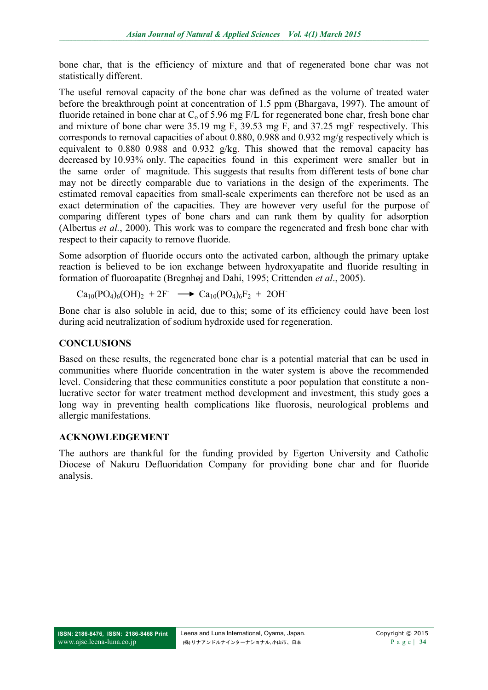bone char, that is the efficiency of mixture and that of regenerated bone char was not statistically different.

The useful removal capacity of the bone char was defined as the volume of treated water before the breakthrough point at concentration of 1.5 ppm (Bhargava, 1997). The amount of fluoride retained in bone char at  $C<sub>o</sub>$  of 5.96 mg F/L for regenerated bone char, fresh bone char and mixture of bone char were 35.19 mg F, 39.53 mg F, and 37.25 mgF respectively. This corresponds to removal capacities of about 0.880, 0.988 and 0.932 mg/g respectively which is equivalent to 0.880 0.988 and 0.932 g/kg. This showed that the removal capacity has decreased by 10.93% only. The capacities found in this experiment were smaller but in the same order of magnitude. This suggests that results from different tests of bone char may not be directly comparable due to variations in the design of the experiments. The estimated removal capacities from small-scale experiments can therefore not be used as an exact determination of the capacities. They are however very useful for the purpose of comparing different types of bone chars and can rank them by quality for adsorption (Albertus *et al.*, 2000). This work was to compare the regenerated and fresh bone char with respect to their capacity to remove fluoride.

Some adsorption of fluoride occurs onto the activated carbon, although the primary uptake reaction is believed to be ion exchange between hydroxyapatite and fluoride resulting in formation of fluoroapatite (Bregnhøj and Dahi, 1995; Crittenden *et al*., 2005).

$$
Ca_{10}(PO_4)_6(OH)_2 + 2F \longrightarrow Ca_{10}(PO_4)_6F_2 + 2OH
$$

Bone char is also soluble in acid, due to this; some of its efficiency could have been lost during acid neutralization of sodium hydroxide used for regeneration.

#### **CONCLUSIONS**

Based on these results, the regenerated bone char is a potential material that can be used in communities where fluoride concentration in the water system is above the recommended level. Considering that these communities constitute a poor population that constitute a nonlucrative sector for water treatment method development and investment, this study goes a long way in preventing health complications like fluorosis, neurological problems and allergic manifestations.

#### **ACKNOWLEDGEMENT**

The authors are thankful for the funding provided by Egerton University and Catholic Diocese of Nakuru Defluoridation Company for providing bone char and for fluoride analysis.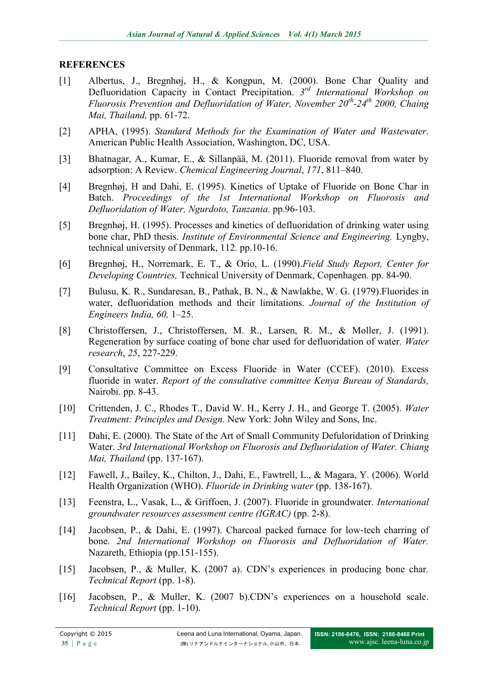#### **REFERENCES**

- [1] Albertus, J., Bregnhøj, H., & Kongpun, M. (2000). Bone Char Quality and Defluoridation Capacity in Contact Precipitation. 3<sup>rd</sup> International Workshop on *Fluorosis Prevention and Defluoridation of Water, November 20th -24th 2000, Chaing Mai, Thailand,* pp. 61‐72.
- [2] APHA, (1995). *Standard Methods for the Examination of Water and Wastewater*. American Public Health Association, Washington, DC, USA.
- [3] Bhatnagar, A., Kumar, E., & Sillanpää, M. (2011). Fluoride removal from water by adsorption: A Review. *Chemical Engineering Journal*, *171*, 811–840.
- [4] Bregnhøj, H and Dahi, E. (1995). Kinetics of Uptake of Fluoride on Bone Char in Batch. *Proceedings of the 1st International Workshop on Fluorosis and Defluoridation of Water, Ngurdoto, Tanzania.* pp.96-103.
- [5] Bregnhøj, H. (1995). Processes and kinetics of defluoridation of drinking water using bone char, PhD thesis. *Institute of Environmental Science and Engineering.* Lyngby, technical university of Denmark, 112. pp.10-16.
- [6] Bregnhøj, H., Norremark, E. T., & Orio, L. (1990).*Field Study Report, Center for Developing Countries,* Technical University of Denmark, Copenhagen. pp. 84-90.
- [7] Bulusu, K. R., Sundaresan, B., Pathak, B. N., & Nawlakhe, W. G. (1979).Fluorides in water, defluoridation methods and their limitations. *Journal of the Institution of Engineers India, 60,* 1–25.
- [8] Christoffersen, J., Christoffersen, M. R., Larsen, R. M., & Moller, J. (1991). Regeneration by surface coating of bone char used for defluoridation of water. *Water research*, *25*, 227-229.
- [9] Consultative Committee on Excess Fluoride in Water (CCEF). (2010). Excess fluoride in water. *Report of the consultative committee Kenya Bureau of Standards,* Nairobi. pp. 8-43.
- [10] Crittenden, J. C., Rhodes T., David W. H., Kerry J. H., and George T. (2005). *Water Treatment: Principles and Design.* New York: John Wiley and Sons, Inc.
- [11] Dahi, E. (2000). The State of the Art of Small Community Defuloridation of Drinking Water. *3rd International Workshop on Fluorosis and Defluoridation of Water. Chiang Mai, Thailand* (pp. 137‐167).
- [12] Fawell, J., Bailey, K., Chilton, J., Dahi, E., Fawtrell, L., & Magara, Y. (2006). World Health Organization (WHO). *Fluoride in Drinking water* (pp. 138-167).
- [13] Feenstra, L., Vasak, L., & Griffoen, J. (2007). Fluoride in groundwater. *International groundwater resources assessment centre (IGRAC)* (pp. 2-8).
- [14] Jacobsen, P., & Dahi, E. (1997). Charcoal packed furnace for low-tech charring of bone. *2nd International Workshop on Fluorosis and Defluoridation of Water.* Nazareth, Ethiopia (pp.151‐155).
- [15] Jacobsen, P., & Muller, K. (2007 a). CDN's experiences in producing bone char*. Technical Report* (pp. 1-8).
- [16] Jacobsen, P., & Muller, K. (2007 b).CDN's experiences on a household scale. *Technical Report* (pp. 1-10).